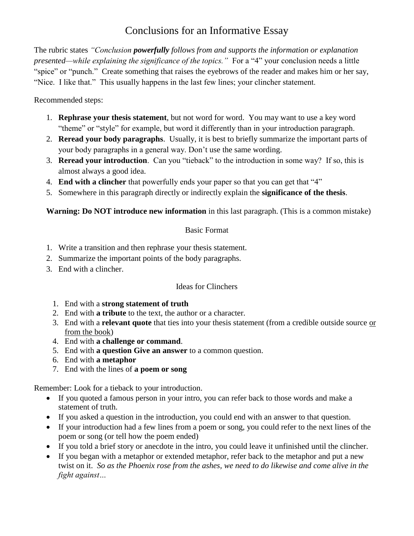## Conclusions for an Informative Essay

The rubric states *"Conclusion powerfully follows from and supports the information or explanation presented—while explaining the significance of the topics."* For a "4" your conclusion needs a little "spice" or "punch." Create something that raises the eyebrows of the reader and makes him or her say, "Nice. I like that." This usually happens in the last few lines; your clincher statement.

Recommended steps:

- 1. **Rephrase your thesis statement**, but not word for word. You may want to use a key word "theme" or "style" for example, but word it differently than in your introduction paragraph.
- 2. **Reread your body paragraphs**. Usually, it is best to briefly summarize the important parts of your body paragraphs in a general way. Don't use the same wording.
- 3. **Reread your introduction**. Can you "tieback" to the introduction in some way? If so, this is almost always a good idea.
- 4. **End with a clincher** that powerfully ends your paper so that you can get that "4"
- 5. Somewhere in this paragraph directly or indirectly explain the **significance of the thesis**.

**Warning: Do NOT introduce new information** in this last paragraph. (This is a common mistake)

## Basic Format

- 1. Write a transition and then rephrase your thesis statement.
- 2. Summarize the important points of the body paragraphs.
- 3. End with a clincher.

## Ideas for Clinchers

- 1. End with a **strong statement of truth**
- 2. End with **a tribute** to the text, the author or a character.
- 3. End with a **relevant quote** that ties into your thesis statement (from a credible outside source or from the book)
- 4. End with **a challenge or command**.
- 5. End with **a question Give an answer** to a common question.
- 6. End with **a metaphor**
- 7. End with the lines of **a poem or song**

Remember: Look for a tieback to your introduction.

- If you quoted a famous person in your intro, you can refer back to those words and make a statement of truth.
- If you asked a question in the introduction, you could end with an answer to that question.
- If your introduction had a few lines from a poem or song, you could refer to the next lines of the poem or song (or tell how the poem ended)
- If you told a brief story or anecdote in the intro, you could leave it unfinished until the clincher.
- If you began with a metaphor or extended metaphor, refer back to the metaphor and put a new twist on it. *So as the Phoenix rose from the ashes, we need to do likewise and come alive in the fight against…*